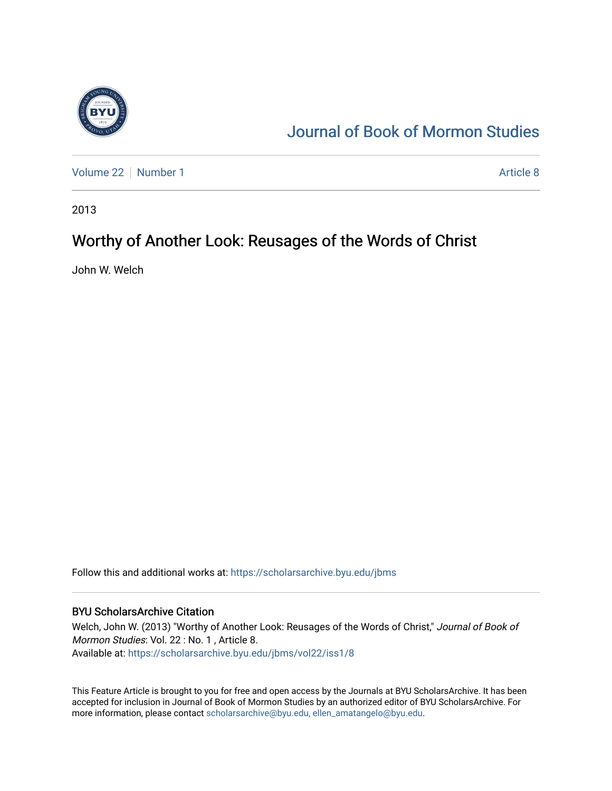

# [Journal of Book of Mormon Studies](https://scholarsarchive.byu.edu/jbms)

[Volume 22](https://scholarsarchive.byu.edu/jbms/vol22) [Number 1](https://scholarsarchive.byu.edu/jbms/vol22/iss1) [Article 8](https://scholarsarchive.byu.edu/jbms/vol22/iss1/8) Article 8

2013

# Worthy of Another Look: Reusages of the Words of Christ

John W. Welch

Follow this and additional works at: [https://scholarsarchive.byu.edu/jbms](https://scholarsarchive.byu.edu/jbms?utm_source=scholarsarchive.byu.edu%2Fjbms%2Fvol22%2Fiss1%2F8&utm_medium=PDF&utm_campaign=PDFCoverPages) 

## BYU ScholarsArchive Citation

Welch, John W. (2013) "Worthy of Another Look: Reusages of the Words of Christ," Journal of Book of Mormon Studies: Vol. 22 : No. 1 , Article 8. Available at: [https://scholarsarchive.byu.edu/jbms/vol22/iss1/8](https://scholarsarchive.byu.edu/jbms/vol22/iss1/8?utm_source=scholarsarchive.byu.edu%2Fjbms%2Fvol22%2Fiss1%2F8&utm_medium=PDF&utm_campaign=PDFCoverPages) 

This Feature Article is brought to you for free and open access by the Journals at BYU ScholarsArchive. It has been accepted for inclusion in Journal of Book of Mormon Studies by an authorized editor of BYU ScholarsArchive. For more information, please contact [scholarsarchive@byu.edu, ellen\\_amatangelo@byu.edu.](mailto:scholarsarchive@byu.edu,%20ellen_amatangelo@byu.edu)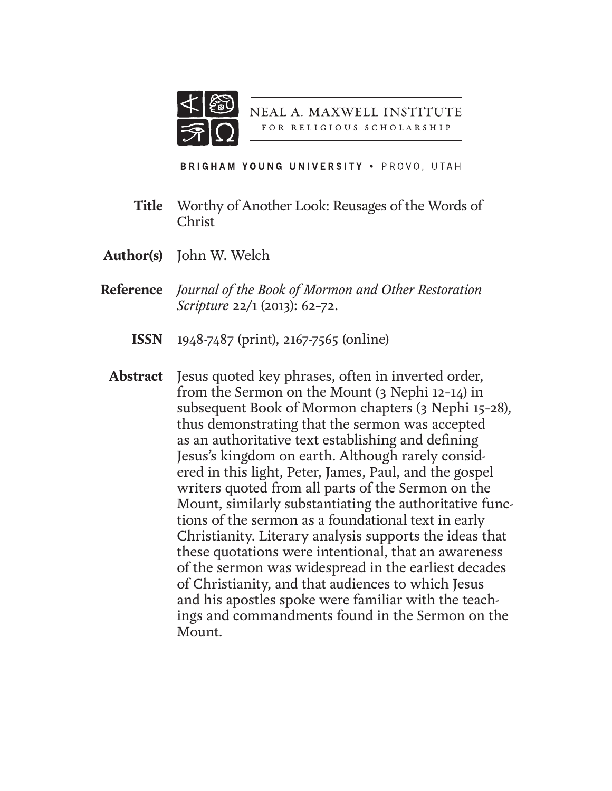

NEAL A. MAXWELL INSTITUTE FOR RELIGIOUS SCHOLARSHIP

**BRIGHAM YOUNG UNIVERSITY . PROVO, UTAH** 

- Worthy of Another Look: Reusages of the Words of Christ **Title**
- **Author(s)** John W. Welch
- *Journal of the Book of Mormon and Other Restoration*  **Reference** *Scripture* 22/1 (2013): 62–72.
	- 1948-7487 (print), 2167-7565 (online) **ISSN**
- Abstract Jesus quoted key phrases, often in inverted order, from the Sermon on the Mount (3 Nephi 12–14) in subsequent Book of Mormon chapters (3 Nephi 15–28), thus demonstrating that the sermon was accepted as an authoritative text establishing and defining Jesus's kingdom on earth. Although rarely considered in this light, Peter, James, Paul, and the gospel writers quoted from all parts of the Sermon on the Mount, similarly substantiating the authoritative functions of the sermon as a foundational text in early Christianity. Literary analysis supports the ideas that these quotations were intentional, that an awareness of the sermon was widespread in the earliest decades of Christianity, and that audiences to which Jesus and his apostles spoke were familiar with the teachings and commandments found in the Sermon on the Mount.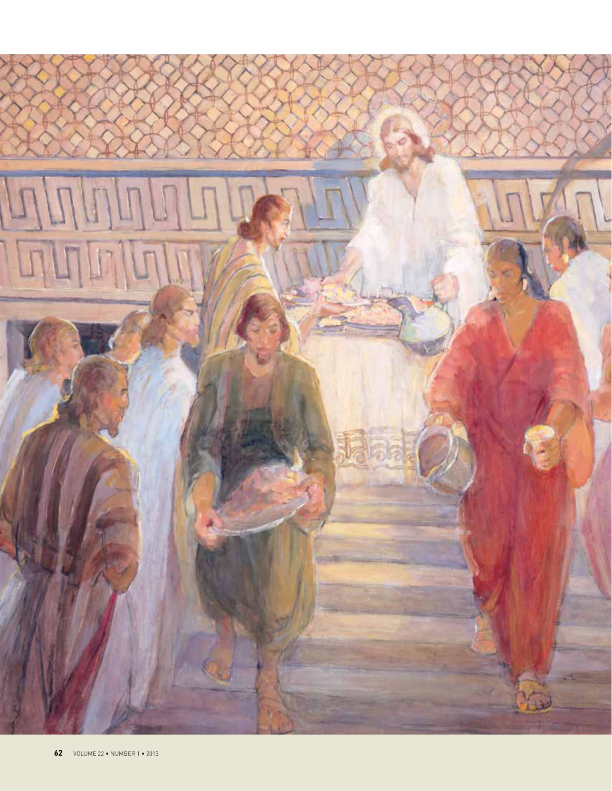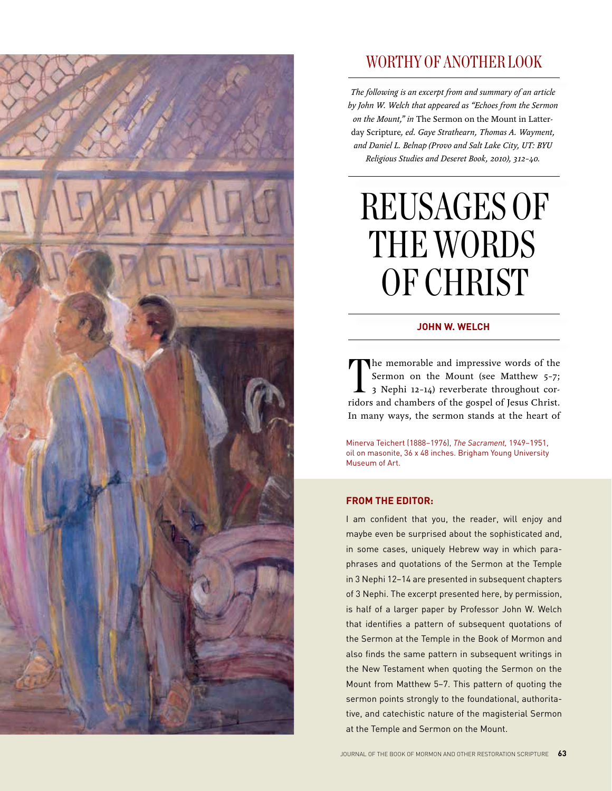

# WORTHY OF ANOTHER LOOK

*The following is an excerpt from and summary of an article by John W. Welch that appeared as "Echoes from the Sermon on the Mount," in* The Sermon on the Mount in Latterday Scripture*, ed. Gaye Strathearn, Thomas A. Wayment, and Daniel L. Belnap (Provo and Salt Lake City, UT: BYU Religious Studies and Deseret Book, 2010), 312–40.*

# REUSAGES OF THE WORDS OF CHRIST

## **John W. Welch**

The memorable and impressive words of the Sermon on the Mount (see Matthew 5-7; 3 Nephi 12-14) reverberate throughout corridors and chambers of the gospel of Jesus Christ. he memorable and impressive words of the Sermon on the Mount (see Matthew 5–7; 3 Nephi 12–14) reverberate throughout cor-In many ways, the sermon stands at the heart of

Minerva Teichert (1888–1976), *The Sacrament,* 1949–1951, oil on masonite, 36 x 48 inches. Brigham Young University Museum of Art.

## **FROM THE EDITOR:**

I am confident that you, the reader, will enjoy and maybe even be surprised about the sophisticated and, in some cases, uniquely Hebrew way in which paraphrases and quotations of the Sermon at the Temple in 3 Nephi 12–14 are presented in subsequent chapters of 3 Nephi. The excerpt presented here, by permission, is half of a larger paper by Professor John W. Welch that identifies a pattern of subsequent quotations of the Sermon at the Temple in the Book of Mormon and also finds the same pattern in subsequent writings in the New Testament when quoting the Sermon on the Mount from Matthew 5–7. This pattern of quoting the sermon points strongly to the foundational, authoritative, and catechistic nature of the magisterial Sermon at the Temple and Sermon on the Mount.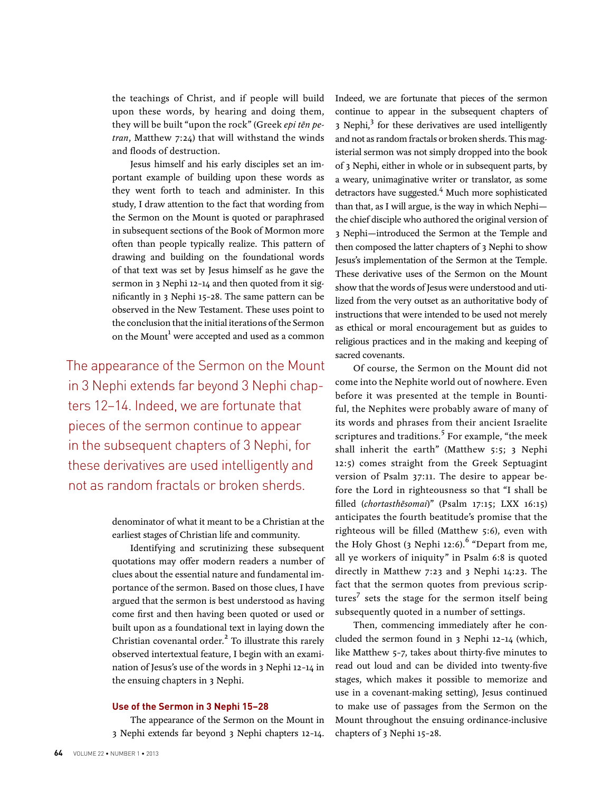the teachings of Christ, and if people will build upon these words, by hearing and doing them, they will be built "upon the rock" (Greek *epi tēn petran*, Matthew 7:24) that will withstand the winds and floods of destruction.

Jesus himself and his early disciples set an important example of building upon these words as they went forth to teach and administer. In this study, I draw attention to the fact that wording from the Sermon on the Mount is quoted or paraphrased in subsequent sections of the Book of Mormon more often than people typically realize. This pattern of drawing and building on the foundational words of that text was set by Jesus himself as he gave the sermon in 3 Nephi 12–14 and then quoted from it significantly in 3 Nephi 15–28. The same pattern can be observed in the New Testament. These uses point to the conclusion that the initial iterations of the Sermon on the Mount $^{\rm l}$  were accepted and used as a common

The appearance of the Sermon on the Mount in 3 Nephi extends far beyond 3 Nephi chapters 12–14. Indeed, we are fortunate that pieces of the sermon continue to appear in the subsequent chapters of 3 Nephi, for these derivatives are used intelligently and not as random fractals or broken sherds.

> denominator of what it meant to be a Christian at the earliest stages of Christian life and community.

> Identifying and scrutinizing these subsequent quotations may offer modern readers a number of clues about the essential nature and fundamental importance of the sermon. Based on those clues, I have argued that the sermon is best understood as having come first and then having been quoted or used or built upon as a foundational text in laying down the Christian covenantal order.<sup>2</sup> To illustrate this rarely observed intertextual feature, I begin with an examination of Jesus's use of the words in 3 Nephi 12–14 in the ensuing chapters in 3 Nephi.

#### **Use of the Sermon in 3 Nephi 15–28**

The appearance of the Sermon on the Mount in 3 Nephi extends far beyond 3 Nephi chapters 12–14.

Indeed, we are fortunate that pieces of the sermon continue to appear in the subsequent chapters of  $3$  Nephi,<sup>3</sup> for these derivatives are used intelligently and not as random fractals or broken sherds. This magisterial sermon was not simply dropped into the book of 3 Nephi, either in whole or in subsequent parts, by a weary, unimaginative writer or translator, as some detractors have suggested.<sup>4</sup> Much more sophisticated than that, as I will argue, is the way in which Nephi the chief disciple who authored the original version of 3 Nephi—introduced the Sermon at the Temple and then composed the latter chapters of 3 Nephi to show Jesus's implementation of the Sermon at the Temple. These derivative uses of the Sermon on the Mount show that the words of Jesus were understood and utilized from the very outset as an authoritative body of instructions that were intended to be used not merely as ethical or moral encouragement but as guides to religious practices and in the making and keeping of sacred covenants.

Of course, the Sermon on the Mount did not come into the Nephite world out of nowhere. Even before it was presented at the temple in Bountiful, the Nephites were probably aware of many of its words and phrases from their ancient Israelite scriptures and traditions.<sup>5</sup> For example, "the meek shall inherit the earth" (Matthew 5:5; 3 Nephi 12:5) comes straight from the Greek Septuagint version of Psalm 37:11. The desire to appear before the Lord in righteousness so that "I shall be filled (*chortasthēsomai*)" (Psalm 17:15; LXX 16:15) anticipates the fourth beatitude's promise that the righteous will be filled (Matthew 5:6), even with the Holy Ghost (3 Nephi 12:6).<sup>6</sup> "Depart from me, all ye workers of iniquity" in Psalm 6:8 is quoted directly in Matthew 7:23 and 3 Nephi 14:23. The fact that the sermon quotes from previous scriptures<sup>7</sup> sets the stage for the sermon itself being subsequently quoted in a number of settings.

Then, commencing immediately after he concluded the sermon found in 3 Nephi 12–14 (which, like Matthew 5–7, takes about thirty-five minutes to read out loud and can be divided into twenty-five stages, which makes it possible to memorize and use in a covenant-making setting), Jesus continued to make use of passages from the Sermon on the Mount throughout the ensuing ordinance-inclusive chapters of 3 Nephi 15–28.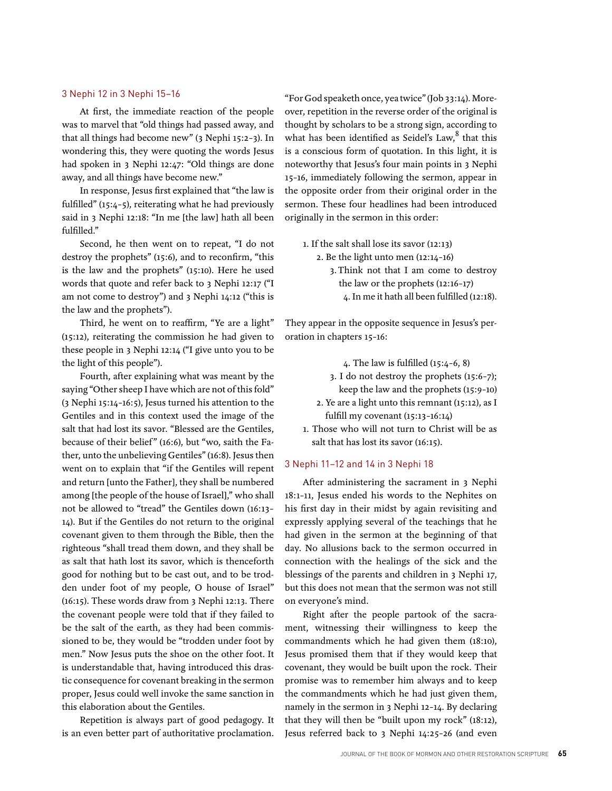#### 3 Nephi 12 in 3 Nephi 15–16

At first, the immediate reaction of the people was to marvel that "old things had passed away, and that all things had become new" (3 Nephi 15:2–3). In wondering this, they were quoting the words Jesus had spoken in 3 Nephi 12:47: "Old things are done away, and all things have become new."

In response, Jesus first explained that "the law is fulfilled" (15:4–5), reiterating what he had previously said in 3 Nephi 12:18: "In me [the law] hath all been fulfilled."

Second, he then went on to repeat, "I do not destroy the prophets" (15:6), and to reconfirm, "this is the law and the prophets" (15:10). Here he used words that quote and refer back to 3 Nephi 12:17 ("I am not come to destroy") and 3 Nephi 14:12 ("this is the law and the prophets").

Third, he went on to reaffirm, "Ye are a light" (15:12), reiterating the commission he had given to these people in 3 Nephi 12:14 ("I give unto you to be the light of this people").

Fourth, after explaining what was meant by the saying "Other sheep I have which are not of this fold" (3 Nephi 15:14–16:5), Jesus turned his attention to the Gentiles and in this context used the image of the salt that had lost its savor. "Blessed are the Gentiles, because of their belief" (16:6), but "wo, saith the Father, unto the unbelieving Gentiles" (16:8). Jesus then went on to explain that "if the Gentiles will repent and return [unto the Father], they shall be numbered among [the people of the house of Israel]," who shall not be allowed to "tread" the Gentiles down (16:13– 14). But if the Gentiles do not return to the original covenant given to them through the Bible, then the righteous "shall tread them down, and they shall be as salt that hath lost its savor, which is thenceforth good for nothing but to be cast out, and to be trodden under foot of my people, O house of Israel" (16:15). These words draw from 3 Nephi 12:13. There the covenant people were told that if they failed to be the salt of the earth, as they had been commissioned to be, they would be "trodden under foot by men." Now Jesus puts the shoe on the other foot. It is understandable that, having introduced this drastic consequence for covenant breaking in the sermon proper, Jesus could well invoke the same sanction in this elaboration about the Gentiles.

Repetition is always part of good pedagogy. It is an even better part of authoritative proclamation.

"For God speaketh once, yea twice" (Job 33:14). Moreover, repetition in the reverse order of the original is thought by scholars to be a strong sign, according to what has been identified as Seidel's Law,  $^8$  that this is a conscious form of quotation. In this light, it is noteworthy that Jesus's four main points in 3 Nephi 15–16, immediately following the sermon, appear in the opposite order from their original order in the sermon. These four headlines had been introduced originally in the sermon in this order:

- 1. If the salt shall lose its savor (12:13)
	- 2. Be the light unto men (12:14–16)
		- 3.Think not that I am come to destroy the law or the prophets (12:16–17) 4. In me it hath all been fulfilled (12:18).

They appear in the opposite sequence in Jesus's peroration in chapters 15–16:

4. The law is fulfilled (15:4–6, 8)

- 3. I do not destroy the prophets (15:6–7); keep the law and the prophets (15:9–10)
- 2. Ye are a light unto this remnant (15:12), as I fulfill my covenant (15:13–16:14)
- 1. Those who will not turn to Christ will be as salt that has lost its savor (16:15).

#### 3 Nephi 11–12 and 14 in 3 Nephi 18

After administering the sacrament in 3 Nephi 18:1–11, Jesus ended his words to the Nephites on his first day in their midst by again revisiting and expressly applying several of the teachings that he had given in the sermon at the beginning of that day. No allusions back to the sermon occurred in connection with the healings of the sick and the blessings of the parents and children in 3 Nephi 17, but this does not mean that the sermon was not still on everyone's mind.

Right after the people partook of the sacrament, witnessing their willingness to keep the commandments which he had given them (18:10), Jesus promised them that if they would keep that covenant, they would be built upon the rock. Their promise was to remember him always and to keep the commandments which he had just given them, namely in the sermon in 3 Nephi 12–14. By declaring that they will then be "built upon my rock" (18:12), Jesus referred back to 3 Nephi 14:25–26 (and even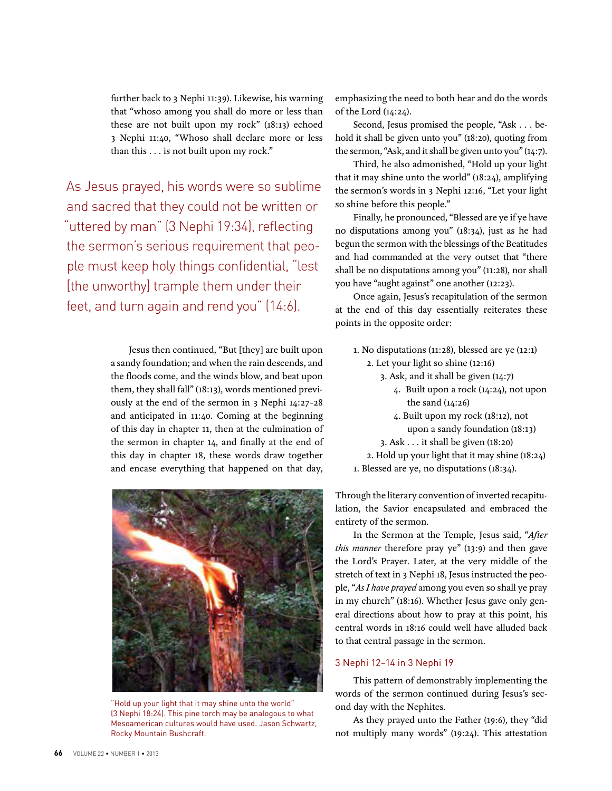further back to 3 Nephi 11:39). Likewise, his warning that "whoso among you shall do more or less than these are not built upon my rock" (18:13) echoed 3 Nephi 11:40, "Whoso shall declare more or less than this . . . is not built upon my rock."

As Jesus prayed, his words were so sublime and sacred that they could not be written or "uttered by man" (3 Nephi 19:34), reflecting the sermon's serious requirement that people must keep holy things confidential, "lest [the unworthy] trample them under their feet, and turn again and rend you" (14:6).

> Jesus then continued, "But [they] are built upon a sandy foundation; and when the rain descends, and the floods come, and the winds blow, and beat upon them, they shall fall" (18:13), words mentioned previously at the end of the sermon in 3 Nephi 14:27–28 and anticipated in 11:40. Coming at the beginning of this day in chapter 11, then at the culmination of the sermon in chapter 14, and finally at the end of this day in chapter 18, these words draw together and encase everything that happened on that day,



"Hold up your light that it may shine unto the world" (3 Nephi 18:24). This pine torch may be analogous to what Mesoamerican cultures would have used. Jason Schwartz, Rocky Mountain Bushcraft.

emphasizing the need to both hear and do the words of the Lord (14:24).

Second, Jesus promised the people, "Ask . . . behold it shall be given unto you" (18:20), quoting from the sermon, "Ask, and it shall be given unto you" (14:7).

Third, he also admonished, "Hold up your light that it may shine unto the world" (18:24), amplifying the sermon's words in 3 Nephi 12:16, "Let your light so shine before this people."

Finally, he pronounced, "Blessed are ye if ye have no disputations among you" (18:34), just as he had begun the sermon with the blessings of the Beatitudes and had commanded at the very outset that "there shall be no disputations among you" (11:28), nor shall you have "aught against" one another (12:23).

Once again, Jesus's recapitulation of the sermon at the end of this day essentially reiterates these points in the opposite order:

- 1. No disputations (11:28), blessed are ye (12:1) 2. Let your light so shine (12:16)
	- 3. Ask, and it shall be given (14:7)
		- 4. Built upon a rock (14:24), not upon the sand (14:26)
		- 4. Built upon my rock (18:12), not upon a sandy foundation (18:13)
	- 3. Ask . . . it shall be given (18:20)
	- 2. Hold up your light that it may shine (18:24)
- 1. Blessed are ye, no disputations (18:34).

Through the literary convention of inverted recapitulation, the Savior encapsulated and embraced the entirety of the sermon.

In the Sermon at the Temple, Jesus said, "*After this manner* therefore pray ye" (13:9) and then gave the Lord's Prayer. Later, at the very middle of the stretch of text in 3 Nephi 18, Jesus instructed the people, "*As I have prayed* among you even so shall ye pray in my church" (18:16). Whether Jesus gave only general directions about how to pray at this point, his central words in 18:16 could well have alluded back to that central passage in the sermon.

#### 3 Nephi 12–14 in 3 Nephi 19

This pattern of demonstrably implementing the words of the sermon continued during Jesus's second day with the Nephites.

As they prayed unto the Father (19:6), they "did not multiply many words" (19:24). This attestation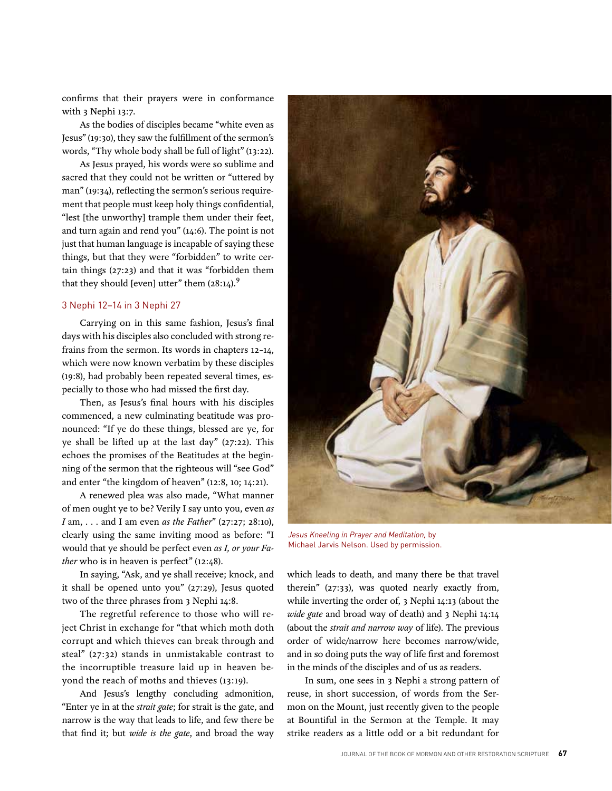confirms that their prayers were in conformance with 3 Nephi 13:7.

As the bodies of disciples became "white even as Jesus" (19:30), they saw the fulfillment of the sermon's words, "Thy whole body shall be full of light" (13:22).

As Jesus prayed, his words were so sublime and sacred that they could not be written or "uttered by man" (19:34), reflecting the sermon's serious requirement that people must keep holy things confidential, "lest [the unworthy] trample them under their feet, and turn again and rend you" (14:6). The point is not just that human language is incapable of saying these things, but that they were "forbidden" to write certain things (27:23) and that it was "forbidden them that they should [even] utter" them  $(28:14).$ <sup>9</sup>

#### 3 Nephi 12–14 in 3 Nephi 27

Carrying on in this same fashion, Jesus's final days with his disciples also concluded with strong refrains from the sermon. Its words in chapters 12–14, which were now known verbatim by these disciples (19:8), had probably been repeated several times, especially to those who had missed the first day.

Then, as Jesus's final hours with his disciples commenced, a new culminating beatitude was pronounced: "If ye do these things, blessed are ye, for ye shall be lifted up at the last day" (27:22). This echoes the promises of the Beatitudes at the beginning of the sermon that the righteous will "see God" and enter "the kingdom of heaven" (12:8, 10; 14:21).

A renewed plea was also made, "What manner of men ought ye to be? Verily I say unto you, even *as I* am, . . . and I am even *as the Father*" (27:27; 28:10), clearly using the same inviting mood as before: "I would that ye should be perfect even *as I, or your Father* who is in heaven is perfect" (12:48).

In saying, "Ask, and ye shall receive; knock, and it shall be opened unto you" (27:29), Jesus quoted two of the three phrases from 3 Nephi 14:8.

The regretful reference to those who will reject Christ in exchange for "that which moth doth corrupt and which thieves can break through and steal" (27:32) stands in unmistakable contrast to the incorruptible treasure laid up in heaven beyond the reach of moths and thieves (13:19).

And Jesus's lengthy concluding admonition, "Enter ye in at the *strait gate*; for strait is the gate, and narrow is the way that leads to life, and few there be that find it; but *wide is the gate*, and broad the way



*Jesus Kneeling in Prayer and Meditation,* by Michael Jarvis Nelson. Used by permission.

which leads to death, and many there be that travel therein" (27:33), was quoted nearly exactly from, while inverting the order of, 3 Nephi 14:13 (about the *wide gate* and broad way of death) and 3 Nephi 14:14 (about the *strait and narrow way* of life). The previous order of wide/narrow here becomes narrow/wide, and in so doing puts the way of life first and foremost in the minds of the disciples and of us as readers.

In sum, one sees in 3 Nephi a strong pattern of reuse, in short succession, of words from the Sermon on the Mount, just recently given to the people at Bountiful in the Sermon at the Temple. It may strike readers as a little odd or a bit redundant for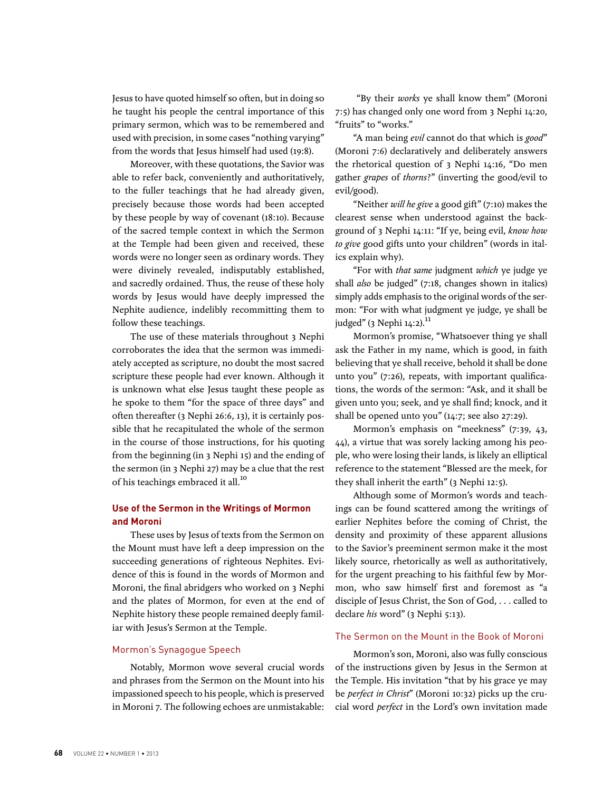Jesus to have quoted himself so often, but in doing so he taught his people the central importance of this primary sermon, which was to be remembered and used with precision, in some cases "nothing varying" from the words that Jesus himself had used (19:8).

Moreover, with these quotations, the Savior was able to refer back, conveniently and authoritatively, to the fuller teachings that he had already given, precisely because those words had been accepted by these people by way of covenant (18:10). Because of the sacred temple context in which the Sermon at the Temple had been given and received, these words were no longer seen as ordinary words. They were divinely revealed, indisputably established, and sacredly ordained. Thus, the reuse of these holy words by Jesus would have deeply impressed the Nephite audience, indelibly recommitting them to follow these teachings.

The use of these materials throughout 3 Nephi corroborates the idea that the sermon was immediately accepted as scripture, no doubt the most sacred scripture these people had ever known. Although it is unknown what else Jesus taught these people as he spoke to them "for the space of three days" and often thereafter (3 Nephi 26:6, 13), it is certainly possible that he recapitulated the whole of the sermon in the course of those instructions, for his quoting from the beginning (in 3 Nephi 15) and the ending of the sermon (in 3 Nephi 27) may be a clue that the rest of his teachings embraced it all.<sup>10</sup>

### **Use of the Sermon in the Writings of Mormon and Moroni**

These uses by Jesus of texts from the Sermon on the Mount must have left a deep impression on the succeeding generations of righteous Nephites. Evidence of this is found in the words of Mormon and Moroni, the final abridgers who worked on 3 Nephi and the plates of Mormon, for even at the end of Nephite history these people remained deeply familiar with Jesus's Sermon at the Temple.

#### Mormon's Synagogue Speech

Notably, Mormon wove several crucial words and phrases from the Sermon on the Mount into his impassioned speech to his people, which is preserved in Moroni 7. The following echoes are unmistakable:

 "By their *works* ye shall know them" (Moroni 7:5) has changed only one word from 3 Nephi 14:20, "fruits" to "works."

"A man being *evil* cannot do that which is *good*" (Moroni 7:6) declaratively and deliberately answers the rhetorical question of 3 Nephi 14:16, "Do men gather *grapes* of *thorns*?" (inverting the good/evil to evil/good).

"Neither *will he give* a good gift" (7:10) makes the clearest sense when understood against the background of 3 Nephi 14:11: "If ye, being evil, *know how to give* good gifts unto your children" (words in italics explain why).

"For with *that same* judgment *which* ye judge ye shall *also* be judged" (7:18, changes shown in italics) simply adds emphasis to the original words of the sermon: "For with what judgment ye judge, ye shall be judged" (3 Nephi 14:2). $^{11}$ 

Mormon's promise, "Whatsoever thing ye shall ask the Father in my name, which is good, in faith believing that ye shall receive, behold it shall be done unto you" (7:26), repeats, with important qualifications, the words of the sermon: "Ask, and it shall be given unto you; seek, and ye shall find; knock, and it shall be opened unto you" (14:7; see also 27:29).

Mormon's emphasis on "meekness" (7:39, 43, 44), a virtue that was sorely lacking among his people, who were losing their lands, is likely an elliptical reference to the statement "Blessed are the meek, for they shall inherit the earth" (3 Nephi 12:5).

Although some of Mormon's words and teachings can be found scattered among the writings of earlier Nephites before the coming of Christ, the density and proximity of these apparent allusions to the Savior's preeminent sermon make it the most likely source, rhetorically as well as authoritatively, for the urgent preaching to his faithful few by Mormon, who saw himself first and foremost as "a disciple of Jesus Christ, the Son of God, . . . called to declare *his* word" (3 Nephi 5:13).

#### The Sermon on the Mount in the Book of Moroni

Mormon's son, Moroni, also was fully conscious of the instructions given by Jesus in the Sermon at the Temple. His invitation "that by his grace ye may be *perfect in Christ*" (Moroni 10:32) picks up the crucial word *perfect* in the Lord's own invitation made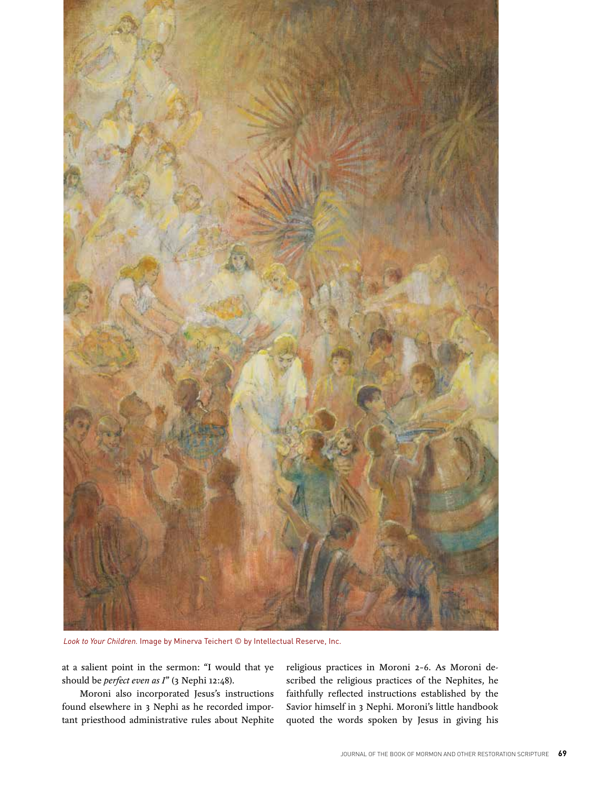

*Look to Your Children.* Image by Minerva Teichert © by Intellectual Reserve, Inc.

at a salient point in the sermon: "I would that ye should be *perfect even as I*" (3 Nephi 12:48).

Moroni also incorporated Jesus's instructions found elsewhere in 3 Nephi as he recorded important priesthood administrative rules about Nephite religious practices in Moroni 2–6. As Moroni described the religious practices of the Nephites, he faithfully reflected instructions established by the Savior himself in 3 Nephi. Moroni's little handbook quoted the words spoken by Jesus in giving his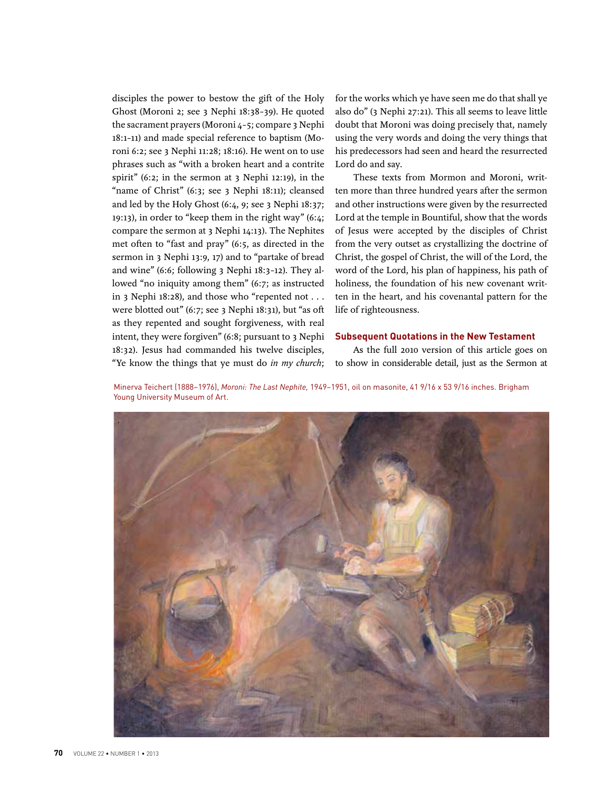disciples the power to bestow the gift of the Holy Ghost (Moroni 2; see 3 Nephi 18:38–39). He quoted the sacrament prayers (Moroni 4–5; compare 3 Nephi 18:1–11) and made special reference to baptism (Moroni 6:2; see 3 Nephi 11:28; 18:16). He went on to use phrases such as "with a broken heart and a contrite spirit" (6:2; in the sermon at 3 Nephi 12:19), in the "name of Christ" (6:3; see 3 Nephi 18:11); cleansed and led by the Holy Ghost (6:4, 9; see 3 Nephi 18:37; 19:13), in order to "keep them in the right way" (6:4; compare the sermon at 3 Nephi 14:13). The Nephites met often to "fast and pray" (6:5, as directed in the sermon in 3 Nephi 13:9, 17) and to "partake of bread and wine" (6:6; following 3 Nephi 18:3–12). They allowed "no iniquity among them" (6:7; as instructed in 3 Nephi 18:28), and those who "repented not . . . were blotted out" (6:7; see 3 Nephi 18:31), but "as oft as they repented and sought forgiveness, with real intent, they were forgiven" (6:8; pursuant to 3 Nephi 18:32). Jesus had commanded his twelve disciples, "Ye know the things that ye must do *in my church*;

for the works which ye have seen me do that shall ye also do" (3 Nephi 27:21). This all seems to leave little doubt that Moroni was doing precisely that, namely using the very words and doing the very things that his predecessors had seen and heard the resurrected Lord do and say.

These texts from Mormon and Moroni, written more than three hundred years after the sermon and other instructions were given by the resurrected Lord at the temple in Bountiful, show that the words of Jesus were accepted by the disciples of Christ from the very outset as crystallizing the doctrine of Christ, the gospel of Christ, the will of the Lord, the word of the Lord, his plan of happiness, his path of holiness, the foundation of his new covenant written in the heart, and his covenantal pattern for the life of righteousness.

#### **Subsequent Quotations in the New Testament**

As the full 2010 version of this article goes on to show in considerable detail, just as the Sermon at

Minerva Teichert (1888–1976), *Moroni: The Last Nephite,* 1949–1951, oil on masonite, 41 9/16 x 53 9/16 inches. Brigham Young University Museum of Art.

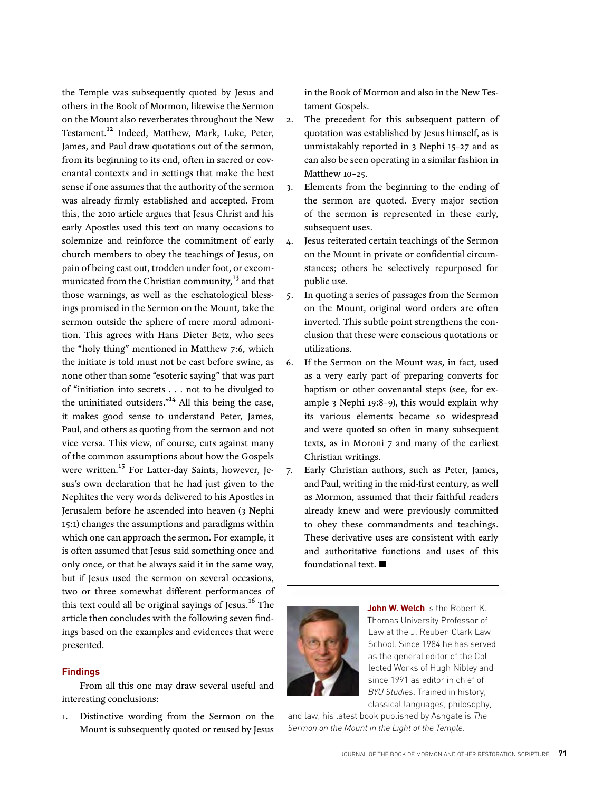the Temple was subsequently quoted by Jesus and others in the Book of Mormon, likewise the Sermon on the Mount also reverberates throughout the New Testament.12 Indeed, Matthew, Mark, Luke, Peter, James, and Paul draw quotations out of the sermon, from its beginning to its end, often in sacred or covenantal contexts and in settings that make the best sense if one assumes that the authority of the sermon was already firmly established and accepted. From this, the 2010 article argues that Jesus Christ and his early Apostles used this text on many occasions to solemnize and reinforce the commitment of early church members to obey the teachings of Jesus, on pain of being cast out, trodden under foot, or excommunicated from the Christian community, $13$  and that those warnings, as well as the eschatological blessings promised in the Sermon on the Mount, take the sermon outside the sphere of mere moral admonition. This agrees with Hans Dieter Betz, who sees the "holy thing" mentioned in Matthew 7:6, which the initiate is told must not be cast before swine, as none other than some "esoteric saying" that was part of "initiation into secrets . . . not to be divulged to the uninitiated outsiders. $n<sup>14</sup>$  All this being the case, it makes good sense to understand Peter, James, Paul, and others as quoting from the sermon and not vice versa. This view, of course, cuts against many of the common assumptions about how the Gospels were written.<sup>15</sup> For Latter-day Saints, however, Jesus's own declaration that he had just given to the Nephites the very words delivered to his Apostles in Jerusalem before he ascended into heaven (3 Nephi 15:1) changes the assumptions and paradigms within which one can approach the sermon. For example, it is often assumed that Jesus said something once and only once, or that he always said it in the same way, but if Jesus used the sermon on several occasions, two or three somewhat different performances of this text could all be original sayings of Jesus.<sup>16</sup> The article then concludes with the following seven findings based on the examples and evidences that were presented.

#### **Findings**

From all this one may draw several useful and interesting conclusions:

1. Distinctive wording from the Sermon on the Mount is subsequently quoted or reused by Jesus

in the Book of Mormon and also in the New Testament Gospels.

- 2. The precedent for this subsequent pattern of quotation was established by Jesus himself, as is unmistakably reported in 3 Nephi 15–27 and as can also be seen operating in a similar fashion in Matthew 10–25.
- 3. Elements from the beginning to the ending of the sermon are quoted. Every major section of the sermon is represented in these early, subsequent uses.
- 4. Jesus reiterated certain teachings of the Sermon on the Mount in private or confidential circumstances; others he selectively repurposed for public use.
- 5. In quoting a series of passages from the Sermon on the Mount, original word orders are often inverted. This subtle point strengthens the conclusion that these were conscious quotations or utilizations.
- 6. If the Sermon on the Mount was, in fact, used as a very early part of preparing converts for baptism or other covenantal steps (see, for example 3 Nephi 19:8–9), this would explain why its various elements became so widespread and were quoted so often in many subsequent texts, as in Moroni 7 and many of the earliest Christian writings.
- 7. Early Christian authors, such as Peter, James, and Paul, writing in the mid-first century, as well as Mormon, assumed that their faithful readers already knew and were previously committed to obey these commandments and teachings. These derivative uses are consistent with early and authoritative functions and uses of this foundational text.  $\blacksquare$

![](_page_11_Picture_11.jpeg)

**John W. Welch** is the Robert K. Thomas University Professor of Law at the J. Reuben Clark Law School. Since 1984 he has served as the general editor of the Collected Works of Hugh Nibley and since 1991 as editor in chief of *BYU Studies*. Trained in history, classical languages, philosophy,

and law, his latest book published by Ashgate is *The Sermon on the Mount in the Light of the Temple*.